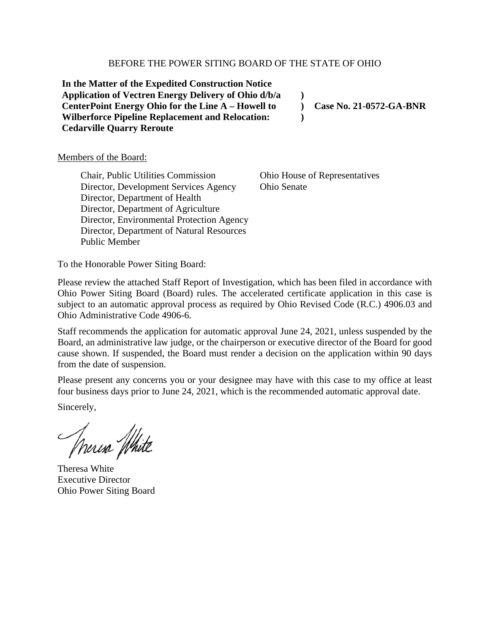#### BEFORE THE POWER SITING BOARD OF THE STATE OF OHIO

**In the Matter of the Expedited Construction Notice Application of Vectren Energy Delivery of Ohio d/b/a CenterPoint Energy Ohio for the Line A – Howell to Wilberforce Pipeline Replacement and Relocation: Cedarville Quarry Reroute**

**Case No. 21-0572-GA-BNR**

#### Members of the Board:

Chair, Public Utilities Commission Director, Development Services Agency Director, Department of Health Director, Department of Agriculture Director, Environmental Protection Agency Director, Department of Natural Resources Public Member

Ohio House of Representatives Ohio Senate

**) ) )**

To the Honorable Power Siting Board:

Please review the attached Staff Report of Investigation, which has been filed in accordance with Ohio Power Siting Board (Board) rules. The accelerated certificate application in this case is subject to an automatic approval process as required by Ohio Revised Code (R.C.) 4906.03 and Ohio Administrative Code 4906-6.

Staff recommends the application for automatic approval June 24, 2021, unless suspended by the Board, an administrative law judge, or the chairperson or executive director of the Board for good cause shown. If suspended, the Board must render a decision on the application within 90 days from the date of suspension.

Please present any concerns you or your designee may have with this case to my office at least four business days prior to June 24, 2021, which is the recommended automatic approval date.

Sincerely,

Annesa White

Theresa White Executive Director Ohio Power Siting Board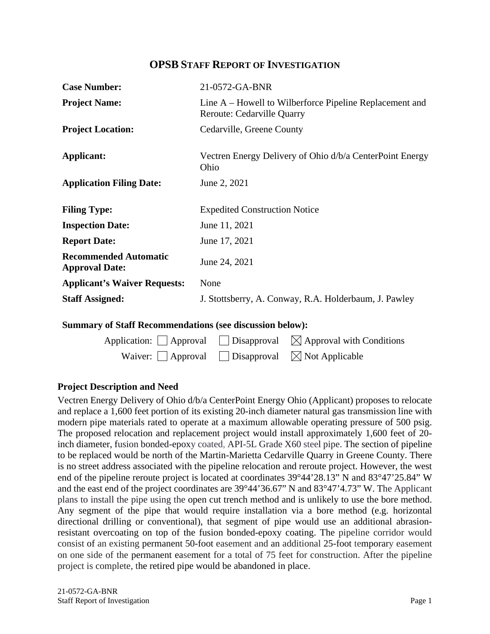# **OPSB STAFF REPORT OF INVESTIGATION**

| <b>Case Number:</b>                                   | 21-0572-GA-BNR                                                                               |  |
|-------------------------------------------------------|----------------------------------------------------------------------------------------------|--|
| <b>Project Name:</b>                                  | Line A – Howell to Wilberforce Pipeline Replacement and<br><b>Reroute: Cedarville Quarry</b> |  |
| <b>Project Location:</b>                              | Cedarville, Greene County                                                                    |  |
| Applicant:                                            | Vectren Energy Delivery of Ohio d/b/a CenterPoint Energy<br>Ohio                             |  |
| <b>Application Filing Date:</b>                       | June 2, 2021                                                                                 |  |
| <b>Filing Type:</b>                                   | <b>Expedited Construction Notice</b>                                                         |  |
| <b>Inspection Date:</b>                               | June 11, 2021                                                                                |  |
| <b>Report Date:</b>                                   | June 17, 2021                                                                                |  |
| <b>Recommended Automatic</b><br><b>Approval Date:</b> | June 24, 2021                                                                                |  |
| <b>Applicant's Waiver Requests:</b>                   | None                                                                                         |  |
| <b>Staff Assigned:</b>                                | J. Stottsberry, A. Conway, R.A. Holderbaum, J. Pawley                                        |  |

### **Summary of Staff Recommendations (see discussion below):**

|                                                                       | Application: $\Box$ Approval $\Box$ Disapproval $\boxtimes$ Approval with Conditions |
|-----------------------------------------------------------------------|--------------------------------------------------------------------------------------|
| Waiver: $\Box$ Approval $\Box$ Disapproval $\boxtimes$ Not Applicable |                                                                                      |

### **Project Description and Need**

Vectren Energy Delivery of Ohio d/b/a CenterPoint Energy Ohio (Applicant) proposes to relocate and replace a 1,600 feet portion of its existing 20-inch diameter natural gas transmission line with modern pipe materials rated to operate at a maximum allowable operating pressure of 500 psig. The proposed relocation and replacement project would install approximately 1,600 feet of 20 inch diameter, fusion bonded-epoxy coated, API-5L Grade X60 steel pipe. The section of pipeline to be replaced would be north of the Martin-Marietta Cedarville Quarry in Greene County. There is no street address associated with the pipeline relocation and reroute project. However, the west end of the pipeline reroute project is located at coordinates 39°44'28.13" N and 83°47'25.84" W and the east end of the project coordinates are 39°44'36.67" N and 83°47'4.73" W. The Applicant plans to install the pipe using the open cut trench method and is unlikely to use the bore method. Any segment of the pipe that would require installation via a bore method (e.g. horizontal directional drilling or conventional), that segment of pipe would use an additional abrasionresistant overcoating on top of the fusion bonded-epoxy coating. The pipeline corridor would consist of an existing permanent 50-foot easement and an additional 25-foot temporary easement on one side of the permanent easement for a total of 75 feet for construction. After the pipeline project is complete, the retired pipe would be abandoned in place.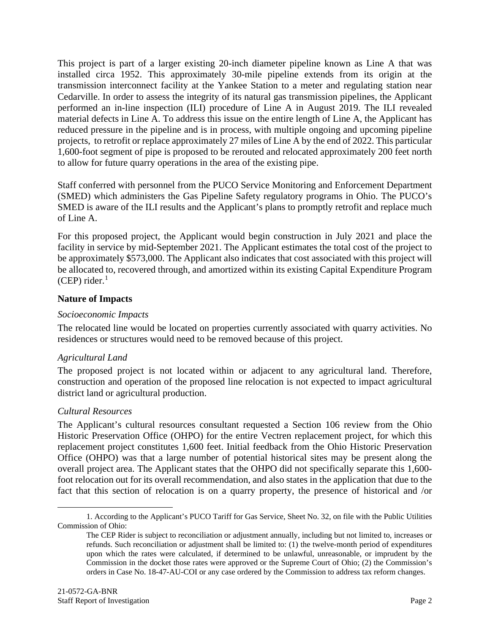This project is part of a larger existing 20-inch diameter pipeline known as Line A that was installed circa 1952. This approximately 30-mile pipeline extends from its origin at the transmission interconnect facility at the Yankee Station to a meter and regulating station near Cedarville. In order to assess the integrity of its natural gas transmission pipelines, the Applicant performed an in-line inspection (ILI) procedure of Line A in August 2019. The ILI revealed material defects in Line A. To address this issue on the entire length of Line A, the Applicant has reduced pressure in the pipeline and is in process, with multiple ongoing and upcoming pipeline projects, to retrofit or replace approximately 27 miles of Line A by the end of 2022. This particular 1,600-foot segment of pipe is proposed to be rerouted and relocated approximately 200 feet north to allow for future quarry operations in the area of the existing pipe.

Staff conferred with personnel from the PUCO Service Monitoring and Enforcement Department (SMED) which administers the Gas Pipeline Safety regulatory programs in Ohio. The PUCO's SMED is aware of the ILI results and the Applicant's plans to promptly retrofit and replace much of Line A.

For this proposed project, the Applicant would begin construction in July 2021 and place the facility in service by mid-September 2021. The Applicant estimates the total cost of the project to be approximately \$573,000. The Applicant also indicates that cost associated with this project will be allocated to, recovered through, and amortized within its existing Capital Expenditure Program  $(CEP)$  rider.<sup>[1](#page-2-0)</sup>

## **Nature of Impacts**

### *Socioeconomic Impacts*

The relocated line would be located on properties currently associated with quarry activities. No residences or structures would need to be removed because of this project.

# *Agricultural Land*

The proposed project is not located within or adjacent to any agricultural land. Therefore, construction and operation of the proposed line relocation is not expected to impact agricultural district land or agricultural production.

### *Cultural Resources*

The Applicant's cultural resources consultant requested a Section 106 review from the Ohio Historic Preservation Office (OHPO) for the entire Vectren replacement project, for which this replacement project constitutes 1,600 feet. Initial feedback from the Ohio Historic Preservation Office (OHPO) was that a large number of potential historical sites may be present along the overall project area. The Applicant states that the OHPO did not specifically separate this 1,600 foot relocation out for its overall recommendation, and also states in the application that due to the fact that this section of relocation is on a quarry property, the presence of historical and /or

<span id="page-2-0"></span><sup>1.</sup> According to the Applicant's PUCO Tariff for Gas Service, Sheet No. 32, on file with the Public Utilities Commission of Ohio:

The CEP Rider is subject to reconciliation or adjustment annually, including but not limited to, increases or refunds. Such reconciliation or adjustment shall be limited to: (1) the twelve-month period of expenditures upon which the rates were calculated, if determined to be unlawful, unreasonable, or imprudent by the Commission in the docket those rates were approved or the Supreme Court of Ohio; (2) the Commission's orders in Case No. 18-47-AU-COI or any case ordered by the Commission to address tax reform changes.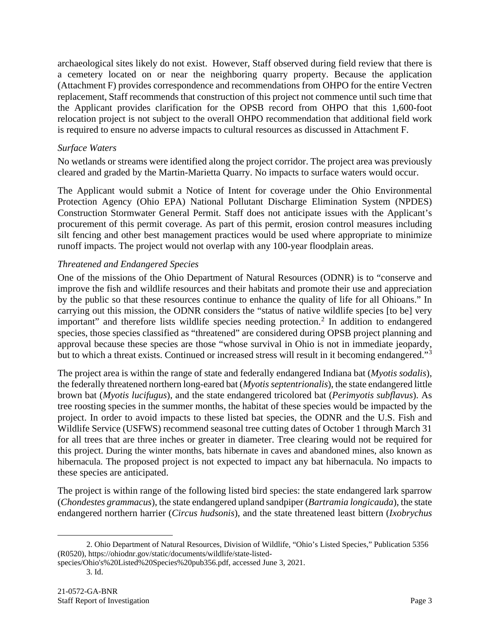archaeological sites likely do not exist. However, Staff observed during field review that there is a cemetery located on or near the neighboring quarry property. Because the application (Attachment F) provides correspondence and recommendations from OHPO for the entire Vectren replacement, Staff recommends that construction of this project not commence until such time that the Applicant provides clarification for the OPSB record from OHPO that this 1,600-foot relocation project is not subject to the overall OHPO recommendation that additional field work is required to ensure no adverse impacts to cultural resources as discussed in Attachment F.

## *Surface Waters*

No wetlands or streams were identified along the project corridor. The project area was previously cleared and graded by the Martin-Marietta Quarry. No impacts to surface waters would occur.

The Applicant would submit a Notice of Intent for coverage under the Ohio Environmental Protection Agency (Ohio EPA) National Pollutant Discharge Elimination System (NPDES) Construction Stormwater General Permit. Staff does not anticipate issues with the Applicant's procurement of this permit coverage. As part of this permit, erosion control measures including silt fencing and other best management practices would be used where appropriate to minimize runoff impacts. The project would not overlap with any 100-year floodplain areas.

## *Threatened and Endangered Species*

One of the missions of the Ohio Department of Natural Resources (ODNR) is to "conserve and improve the fish and wildlife resources and their habitats and promote their use and appreciation by the public so that these resources continue to enhance the quality of life for all Ohioans." In carrying out this mission, the ODNR considers the "status of native wildlife species [to be] very important" and therefore lists wildlife species needing protection.<sup>[2](#page-3-1)</sup> In addition to endangered species, those species classified as "threatened" are considered during OPSB project planning and approval because these species are those "whose survival in Ohio is not in immediate jeopardy, but to which a threat exists. Continued or increased stress will result in it becoming endangered."[3](#page-3-0)

The project area is within the range of state and federally endangered Indiana bat (*Myotis sodalis*), the federally threatened northern long-eared bat (*Myotis septentrionalis*), the state endangered little brown bat (*Myotis lucifugus*), and the state endangered tricolored bat (*Perimyotis subflavus*). As tree roosting species in the summer months, the habitat of these species would be impacted by the project. In order to avoid impacts to these listed bat species, the ODNR and the U.S. Fish and Wildlife Service (USFWS) recommend seasonal tree cutting dates of October 1 through March 31 for all trees that are three inches or greater in diameter. Tree clearing would not be required for this project. During the winter months, bats hibernate in caves and abandoned mines, also known as hibernacula. The proposed project is not expected to impact any bat hibernacula. No impacts to these species are anticipated.

The project is within range of the following listed bird species: the state endangered lark sparrow (*Chondestes grammacus*), the state endangered upland sandpiper (*Bartramia longicauda*), the state endangered northern harrier (*Circus hudsonis*), and the state threatened least bittern (*Ixobrychus* 

<span id="page-3-1"></span><sup>2.</sup> Ohio Department of Natural Resources, Division of Wildlife, "Ohio's Listed Species," Publication 5356 (R0520), https://ohiodnr.gov/static/documents/wildlife/state-listed-

<span id="page-3-0"></span>species/Ohio's%20Listed%20Species%20pub356.pdf, accessed June 3, 2021.

<sup>3.</sup> Id.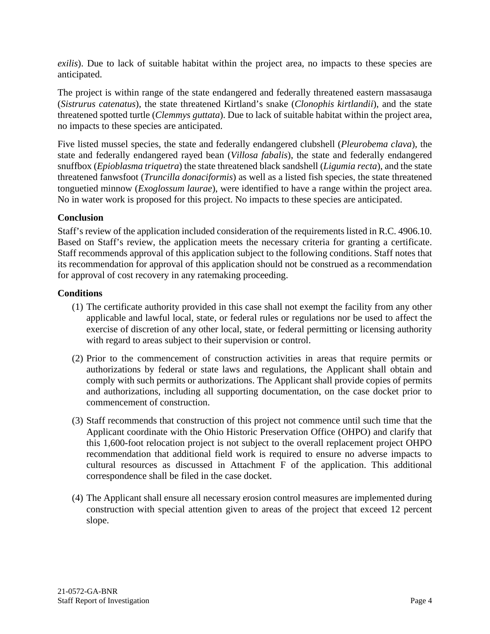*exilis*). Due to lack of suitable habitat within the project area, no impacts to these species are anticipated.

The project is within range of the state endangered and federally threatened eastern massasauga (*Sistrurus catenatus*), the state threatened Kirtland's snake (*Clonophis kirtlandii*), and the state threatened spotted turtle (*Clemmys guttata*). Due to lack of suitable habitat within the project area, no impacts to these species are anticipated.

Five listed mussel species, the state and federally endangered clubshell (*Pleurobema clava*), the state and federally endangered rayed bean (*Villosa fabalis*), the state and federally endangered snuffbox (*Epioblasma triquetra*) the state threatened black sandshell (*Ligumia recta*), and the state threatened fanwsfoot (*Truncilla donaciformis*) as well as a listed fish species, the state threatened tonguetied minnow (*Exoglossum laurae*), were identified to have a range within the project area. No in water work is proposed for this project. No impacts to these species are anticipated.

# **Conclusion**

Staff's review of the application included consideration of the requirements listed in R.C. 4906.10. Based on Staff's review, the application meets the necessary criteria for granting a certificate. Staff recommends approval of this application subject to the following conditions. Staff notes that its recommendation for approval of this application should not be construed as a recommendation for approval of cost recovery in any ratemaking proceeding.

# **Conditions**

- (1) The certificate authority provided in this case shall not exempt the facility from any other applicable and lawful local, state, or federal rules or regulations nor be used to affect the exercise of discretion of any other local, state, or federal permitting or licensing authority with regard to areas subject to their supervision or control.
- (2) Prior to the commencement of construction activities in areas that require permits or authorizations by federal or state laws and regulations, the Applicant shall obtain and comply with such permits or authorizations. The Applicant shall provide copies of permits and authorizations, including all supporting documentation, on the case docket prior to commencement of construction.
- (3) Staff recommends that construction of this project not commence until such time that the Applicant coordinate with the Ohio Historic Preservation Office (OHPO) and clarify that this 1,600-foot relocation project is not subject to the overall replacement project OHPO recommendation that additional field work is required to ensure no adverse impacts to cultural resources as discussed in Attachment F of the application. This additional correspondence shall be filed in the case docket.
- (4) The Applicant shall ensure all necessary erosion control measures are implemented during construction with special attention given to areas of the project that exceed 12 percent slope.